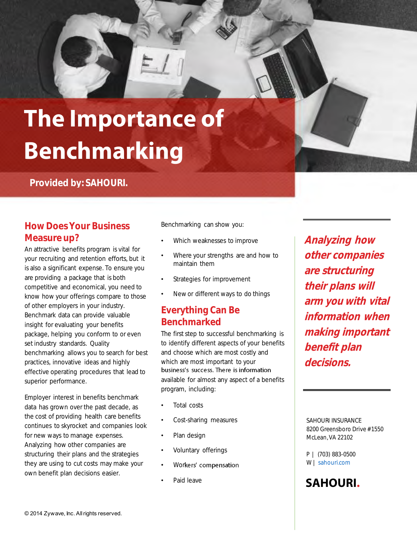

**Provided by: SAHOURI.** 

#### **How Does Your Business Measure up?**

An attractive benefits program is vital for your recruiting and retention efforts, but it is also a significant expense. To ensure you are providing a package that is both competitive and economical, you need to know how your offerings compare to those of other employers in your industry. Benchmark data can provide valuable insight for evaluating your benefits package, helping you conform to or even set industry standards. Quality benchmarking allows you to search for best practices, innovative ideas and highly effective operating procedures that lead to superior performance.

Employer interest in benefits benchmark data has grown over the past decade, as the cost of providing health care benefits continues to skyrocket and companies look for new ways to manage expenses. Analyzing how other companies are structuring their plans and the strategies they are using to cut costs may make your own benefit plan decisions easier.

Benchmarking can show you:

- Which weaknesses to improve
- Where your strengths are and how to maintain them
- Strategies for improvement
- New or different ways to do things

### **Everything Can Be Benchmarked**

The first step to successful benchmarking is to identify different aspects of your benefits and choose which are most costly and which are most important to your business's success. There is information

available for almost any aspect of a benefits program, including:

- Total costs
- Cost-sharing measures
- Plan design
- Voluntary offerings
- Workers' compensation
- Paid leave

**Analyzing how other companies are structuring their plans will arm you with vital information when making important benefit plan decisions.** 

SAHOURI INSURANCE 8200 Greensboro Drive # 1550 McLean, VA 22102

P | (703) 883-0500 W | sahouri.com

### **SAHOURI.**